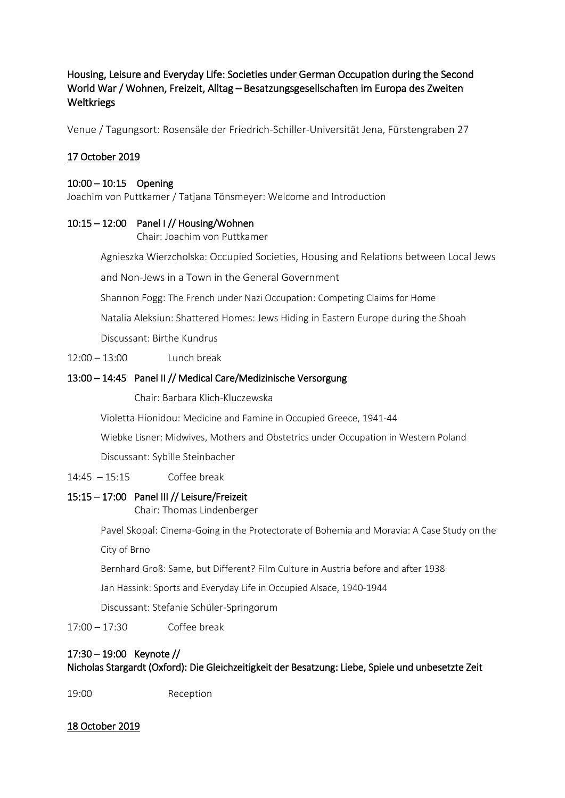# Housing, Leisure and Everyday Life: Societies under German Occupation during the Second World War / Wohnen, Freizeit, Alltag – Besatzungsgesellschaften im Europa des Zweiten Weltkriegs

Venue / Tagungsort: Rosensäle der Friedrich-Schiller-Universität Jena, Fürstengraben 27

## 17 October 2019

#### 10:00 – 10:15 Opening

Joachim von Puttkamer / Tatjana Tönsmeyer: Welcome and Introduction

### 10:15 – 12:00 Panel I // Housing/Wohnen

Chair: Joachim von Puttkamer

Agnieszka Wierzcholska: Occupied Societies, Housing and Relations between Local Jews

and Non-Jews in a Town in the General Government

Shannon Fogg: The French under Nazi Occupation: Competing Claims for Home

Natalia Aleksiun: Shattered Homes: Jews Hiding in Eastern Europe during the Shoah

Discussant: Birthe Kundrus

12:00 – 13:00 Lunch break

### 13:00 – 14:45 Panel II // Medical Care/Medizinische Versorgung

Chair: Barbara Klich-Kluczewska

Violetta Hionidou: Medicine and Famine in Occupied Greece, 1941-44

Wiebke Lisner: Midwives, Mothers and Obstetrics under Occupation in Western Poland

Discussant: Sybille Steinbacher

14:45 – 15:15 Coffee break

### 15:15 – 17:00 Panel III // Leisure/Freizeit

Chair: Thomas Lindenberger

Pavel Skopal: Cinema-Going in the Protectorate of Bohemia and Moravia: A Case Study on the

City of Brno

Bernhard Groß: Same, but Different? Film Culture in Austria before and after 1938

Jan Hassink: Sports and Everyday Life in Occupied Alsace, 1940-1944

Discussant: Stefanie Schüler-Springorum

17:00 – 17:30 Coffee break

# 17:30 – 19:00 Keynote // Nicholas Stargardt (Oxford): Die Gleichzeitigkeit der Besatzung: Liebe, Spiele und unbesetzte Zeit

19:00 Reception

18 October 2019